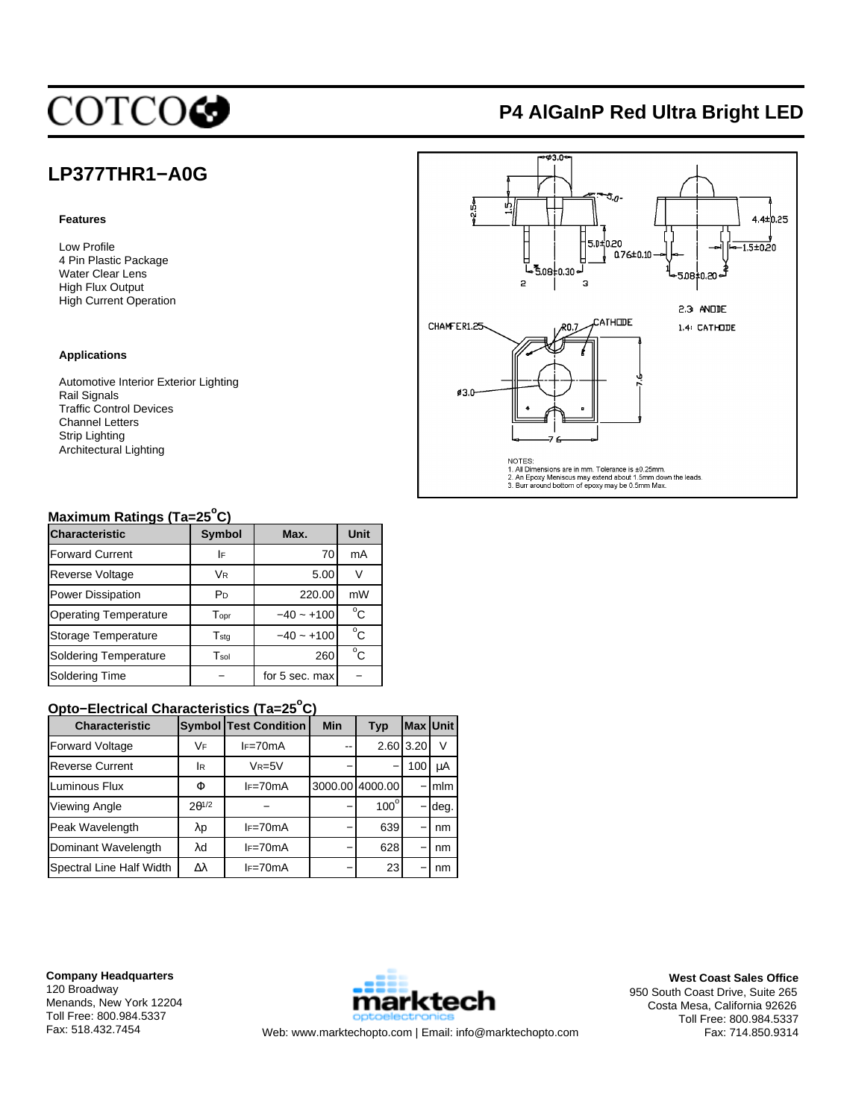# **COTCOG**

# **P4 AlGaInP Red Ultra Bright LED**

## **LP377THR1−A0G**

#### **Features**

Low Profile 4 Pin Plastic Package Water Clear Lens High Flux Output High Current Operation

#### **Applications**

Automotive Interior Exterior Lighting Rail Signals Traffic Control Devices Channel Letters Strip Lighting Architectural Lighting



## **Maximum Ratings (Ta=25<sup>o</sup> C)**

| <b>Characteristic</b>        | <b>Symbol</b>               | Max.           | Unit          |  |
|------------------------------|-----------------------------|----------------|---------------|--|
| <b>Forward Current</b>       | I۴                          | 70             | mA            |  |
| <b>Reverse Voltage</b>       | <b>VR</b>                   | 5.00           | $\mathcal{N}$ |  |
| <b>Power Dissipation</b>     | P <sub>D</sub>              | 220.00         | mW            |  |
| <b>Operating Temperature</b> | $\mathsf{T}_{\mathsf{opt}}$ | $-40 - +100$   | $^{\circ}$ C  |  |
| Storage Temperature          | $T_{\text{std}}$            | $-40 - +100$   | $^{\circ}$ C  |  |
| <b>Soldering Temperature</b> | Tsol                        | 260            | $^{\circ}$ C  |  |
| Soldering Time               |                             | for 5 sec. max |               |  |

## **Opto−Electrical Characteristics (Ta=25<sup>o</sup> C)**

| <b>Characteristic</b>    |                 | <b>Symbol Test Condition</b> | <b>Min</b> | Typ                      | <b>Max Unit</b> |         |
|--------------------------|-----------------|------------------------------|------------|--------------------------|-----------------|---------|
| <b>Forward Voltage</b>   | VF              | $IF=70mA$                    | --         |                          | 2.60 3.20       | V       |
| <b>Reverse Current</b>   | lR.             | $V_R = 5V$                   |            | $\overline{\phantom{0}}$ | 100             | μA      |
| Luminous Flux            | Φ               | $I = 70mA$                   |            | 3000.00 4000.00          |                 | $-lm$ m |
| <b>Viewing Angle</b>     | $2\theta^{1/2}$ |                              |            | $100^\circ$              |                 | deg.    |
| Peak Wavelength          | λp              | $I = 70mA$                   |            | 639                      | -               | nm      |
| Dominant Wavelength      | λd              | $IF=70mA$                    |            | 628                      |                 | nm      |
| Spectral Line Half Width | Δλ              | $IF=70mA$                    |            | 23                       |                 | nm      |

**Company Headquarters** 120 Broadway Menands, New York 12204 Toll Free: 800.984.5337



Fax: 518.432.7454 Web: www.marktechopto.com | Email: info@marktechopto.com

**West Coast Sales Office** 950 South Coast Drive, Suite 265 Costa Mesa, California 92626 Toll Free: 800.984.5337 Fax: 714.850.9314